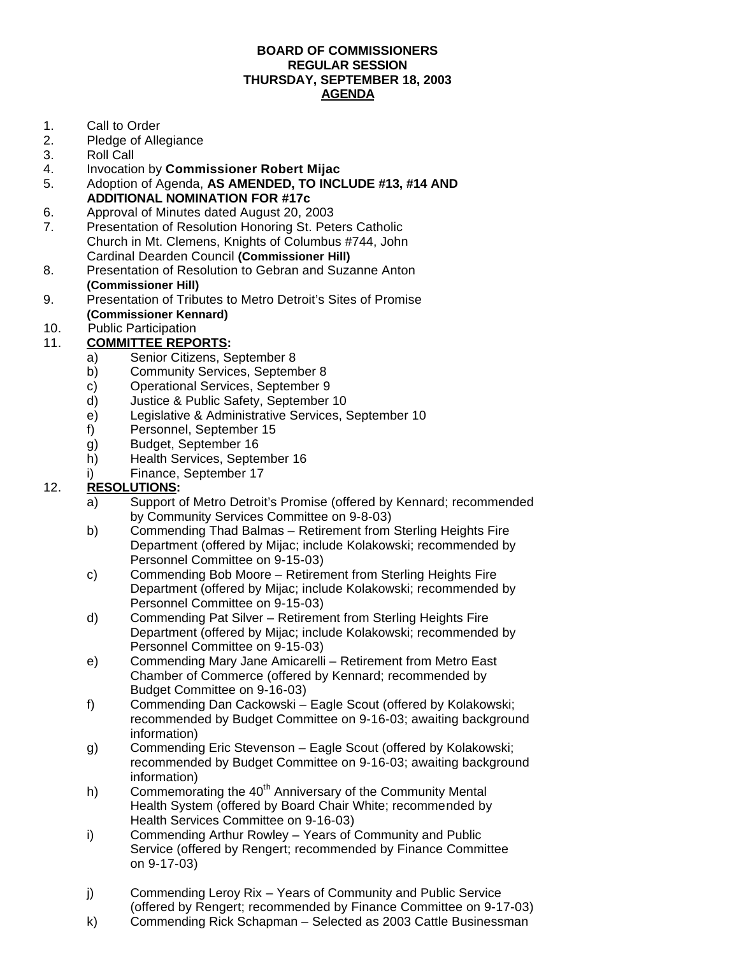#### **BOARD OF COMMISSIONERS REGULAR SESSION THURSDAY, SEPTEMBER 18, 2003 AGENDA**

- 1. Call to Order
- 2. Pledge of Allegiance
- 3. Roll Call
- 4. Invocation by **Commissioner Robert Mijac**
- 5. Adoption of Agenda, **AS AMENDED, TO INCLUDE #13, #14 AND ADDITIONAL NOMINATION FOR #17c**
- 6. Approval of Minutes dated August 20, 2003
- 7. Presentation of Resolution Honoring St. Peters Catholic Church in Mt. Clemens, Knights of Columbus #744, John Cardinal Dearden Council **(Commissioner Hill)**
- 8. Presentation of Resolution to Gebran and Suzanne Anton **(Commissioner Hill)**
- 9. Presentation of Tributes to Metro Detroit's Sites of Promise **(Commissioner Kennard)**
- 10. Public Participation

### 11. **COMMITTEE REPORTS:**

- a) Senior Citizens, September 8
- b) Community Services, September 8
- c) Operational Services, September 9
- d) Justice & Public Safety, September 10
- e) Legislative & Administrative Services, September 10
- f) Personnel, September 15
- g) Budget, September 16
- h) Health Services, September 16
- i) Finance, September 17

### 12. **RESOLUTIONS:**

- a) Support of Metro Detroit's Promise (offered by Kennard; recommended by Community Services Committee on 9-8-03)
- b) Commending Thad Balmas Retirement from Sterling Heights Fire Department (offered by Mijac; include Kolakowski; recommended by Personnel Committee on 9-15-03)
- c) Commending Bob Moore Retirement from Sterling Heights Fire Department (offered by Mijac; include Kolakowski; recommended by Personnel Committee on 9-15-03)
- d) Commending Pat Silver Retirement from Sterling Heights Fire Department (offered by Mijac; include Kolakowski; recommended by Personnel Committee on 9-15-03)
- e) Commending Mary Jane Amicarelli Retirement from Metro East Chamber of Commerce (offered by Kennard; recommended by Budget Committee on 9-16-03)
- f) Commending Dan Cackowski Eagle Scout (offered by Kolakowski; recommended by Budget Committee on 9-16-03; awaiting background information)
- g) Commending Eric Stevenson Eagle Scout (offered by Kolakowski; recommended by Budget Committee on 9-16-03; awaiting background information)
- h) Commemorating the  $40<sup>th</sup>$  Anniversary of the Community Mental Health System (offered by Board Chair White; recommended by Health Services Committee on 9-16-03)
- i) Commending Arthur Rowley Years of Community and Public Service (offered by Rengert; recommended by Finance Committee on 9-17-03)
- j) Commending Leroy Rix Years of Community and Public Service (offered by Rengert; recommended by Finance Committee on 9-17-03)
- k) Commending Rick Schapman Selected as 2003 Cattle Businessman